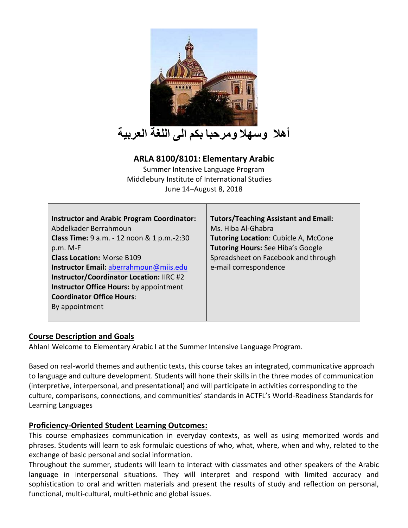

# **ARLA 8100/8101: Elementary Arabic**

Summer Intensive Language Program Middlebury Institute of International Studies June 14–August 8, 2018

| <b>Instructor and Arabic Program Coordinator:</b> | <b>Tutors/Teaching Assistant and Email:</b> |
|---------------------------------------------------|---------------------------------------------|
| Abdelkader Berrahmoun                             | Ms. Hiba Al-Ghabra                          |
| Class Time: 9 a.m. - 12 noon & 1 p.m.-2:30        | <b>Tutoring Location: Cubicle A, McCone</b> |
| $p.m. M-F$                                        | <b>Tutoring Hours: See Hiba's Google</b>    |
| <b>Class Location: Morse B109</b>                 | Spreadsheet on Facebook and through         |
| Instructor Email: aberrahmoun@miis.edu            | e-mail correspondence                       |
| <b>Instructor/Coordinator Location: IIRC #2</b>   |                                             |
| Instructor Office Hours: by appointment           |                                             |
| <b>Coordinator Office Hours:</b>                  |                                             |
| By appointment                                    |                                             |
|                                                   |                                             |

## **Course Description and Goals**

Ahlan! Welcome to Elementary Arabic I at the Summer Intensive Language Program.

Based on real-world themes and authentic texts, this course takes an integrated, communicative approach to language and culture development. Students will hone their skills in the three modes of communication (interpretive, interpersonal, and presentational) and will participate in activities corresponding to the culture, comparisons, connections, and communities' standards in ACTFL's World-Readiness Standards for Learning Languages

# **Proficiency-Oriented Student Learning Outcomes:**

This course emphasizes communication in everyday contexts, as well as using memorized words and phrases. Students will learn to ask formulaic questions of who, what, where, when and why, related to the exchange of basic personal and social information.

Throughout the summer, students will learn to interact with classmates and other speakers of the Arabic language in interpersonal situations. They will interpret and respond with limited accuracy and sophistication to oral and written materials and present the results of study and reflection on personal, functional, multi-cultural, multi-ethnic and global issues.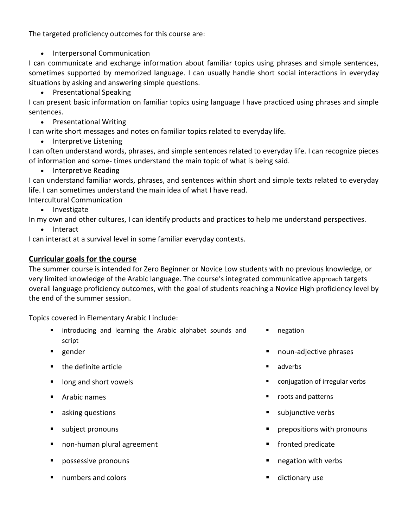The targeted proficiency outcomes for this course are:

• Interpersonal Communication

I can communicate and exchange information about familiar topics using phrases and simple sentences, sometimes supported by memorized language. I can usually handle short social interactions in everyday situations by asking and answering simple questions.

• Presentational Speaking

I can present basic information on familiar topics using language I have practiced using phrases and simple sentences.

• Presentational Writing

I can write short messages and notes on familiar topics related to everyday life.

• Interpretive Listening

I can often understand words, phrases, and simple sentences related to everyday life. I can recognize pieces of information and some- times understand the main topic of what is being said.

• Interpretive Reading

I can understand familiar words, phrases, and sentences within short and simple texts related to everyday life. I can sometimes understand the main idea of what I have read.

Intercultural Communication

• Investigate

In my own and other cultures, I can identify products and practices to help me understand perspectives.

• Interact

I can interact at a survival level in some familiar everyday contexts.

## **Curricular goals for the course**

The summer course is intended for Zero Beginner or Novice Low students with no previous knowledge, or very limited knowledge of the Arabic language. The course's integrated communicative approach targets overall language proficiency outcomes, with the goal of students reaching a Novice High proficiency level by the end of the summer session.

Topics covered in Elementary Arabic I include:

- introducing and learning the Arabic alphabet sounds and script
- 
- the definite article  $\blacksquare$
- 
- 
- 
- 
- non-human plural agreement fronted predicate
- possessive pronouns  $\blacksquare$  negation with verbs
- numbers and colors  $\blacksquare$
- negation
- gender **■** noun-adjective phrases
	-
- long and short vowels **■** conjugation of irregular verbs
- Arabic names  **roots and patterns**
- asking questions  **subjunctive verbs**
- subject pronouns prepositions with pronouns
	-
	-
	-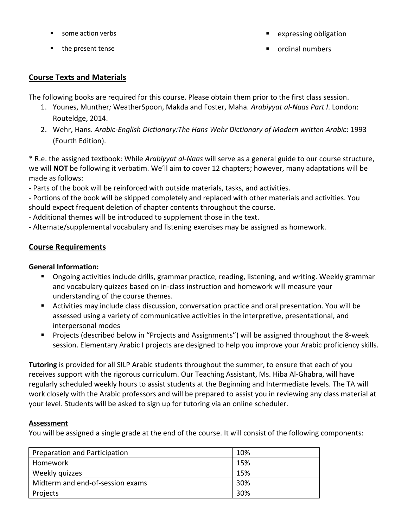- 
- 
- some action verbs expressing obligation
- the present tense ★ ordinal numbers ★ ordinal numbers

# **Course Texts and Materials**

The following books are required for this course. Please obtain them prior to the first class session.

- 1. Younes, Munther*;* WeatherSpoon, Makda and Foster, Maha. *Arabiyyat al-Naas Part I*. London: Routeldge, 2014.
- 2. Wehr, Hans. *Arabic-English Dictionary:The Hans Wehr Dictionary of Modern written Arabic*: 1993 (Fourth Edition).

\* R.e. the assigned textbook: While *Arabiyyat al-Naas* will serve as a general guide to our course structure, we will **NOT** be following it verbatim. We'll aim to cover 12 chapters; however, many adaptations will be made as follows:

- Parts of the book will be reinforced with outside materials, tasks, and activities.

- Portions of the book will be skipped completely and replaced with other materials and activities. You should expect frequent deletion of chapter contents throughout the course.

- Additional themes will be introduced to supplement those in the text.

- Alternate/supplemental vocabulary and listening exercises may be assigned as homework.

# **Course Requirements**

## **General Information:**

- Ongoing activities include drills, grammar practice, reading, listening, and writing. Weekly grammar and vocabulary quizzes based on in-class instruction and homework will measure your understanding of the course themes.
- Activities may include class discussion, conversation practice and oral presentation. You will be assessed using a variety of communicative activities in the interpretive, presentational, and interpersonal modes
- Projects (described below in "Projects and Assignments") will be assigned throughout the 8-week session. Elementary Arabic I projects are designed to help you improve your Arabic proficiency skills.

**Tutoring** is provided for all SILP Arabic students throughout the summer, to ensure that each of you receives support with the rigorous curriculum. Our Teaching Assistant, Ms. Hiba Al-Ghabra, will have regularly scheduled weekly hours to assist students at the Beginning and Intermediate levels. The TA will work closely with the Arabic professors and will be prepared to assist you in reviewing any class material at your level. Students will be asked to sign up for tutoring via an online scheduler.

## **Assessment**

You will be assigned a single grade at the end of the course. It will consist of the following components:

| Preparation and Participation    | 10% |
|----------------------------------|-----|
| Homework                         | 15% |
| Weekly quizzes                   | 15% |
| Midterm and end-of-session exams | 30% |
| Projects                         | 30% |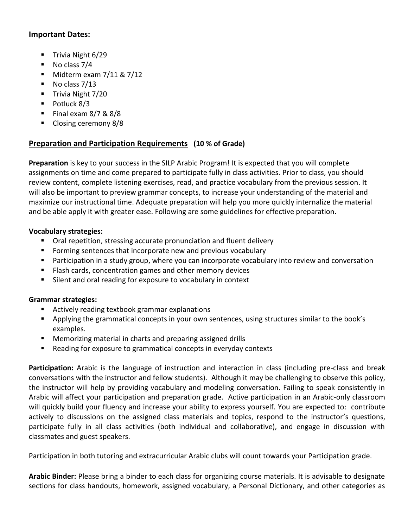#### **Important Dates:**

- Trivia Night 6/29
- $\blacksquare$  No class 7/4
- $\blacksquare$  Midterm exam 7/11 & 7/12
- No class 7/13
- Trivia Night 7/20
- Potluck 8/3
- Final exam  $8/7$  &  $8/8$
- Closing ceremony 8/8

# **Preparation and Participation Requirements (10 % of Grade)**

**Preparation** is key to your success in the SILP Arabic Program! It is expected that you will complete assignments on time and come prepared to participate fully in class activities. Prior to class, you should review content, complete listening exercises, read, and practice vocabulary from the previous session. It will also be important to preview grammar concepts, to increase your understanding of the material and maximize our instructional time. Adequate preparation will help you more quickly internalize the material and be able apply it with greater ease. Following are some guidelines for effective preparation.

## **Vocabulary strategies:**

- Oral repetition, stressing accurate pronunciation and fluent delivery
- Forming sentences that incorporate new and previous vocabulary
- Participation in a study group, where you can incorporate vocabulary into review and conversation
- Flash cards, concentration games and other memory devices
- Silent and oral reading for exposure to vocabulary in context

#### **Grammar strategies:**

- Actively reading textbook grammar explanations
- Applying the grammatical concepts in your own sentences, using structures similar to the book's examples.
- Memorizing material in charts and preparing assigned drills
- Reading for exposure to grammatical concepts in everyday contexts

**Participation:** Arabic is the language of instruction and interaction in class (including pre-class and break conversations with the instructor and fellow students). Although it may be challenging to observe this policy, the instructor will help by providing vocabulary and modeling conversation. Failing to speak consistently in Arabic will affect your participation and preparation grade. Active participation in an Arabic-only classroom will quickly build your fluency and increase your ability to express yourself. You are expected to: contribute actively to discussions on the assigned class materials and topics, respond to the instructor's questions, participate fully in all class activities (both individual and collaborative), and engage in discussion with classmates and guest speakers.

Participation in both tutoring and extracurricular Arabic clubs will count towards your Participation grade.

**Arabic Binder:** Please bring a binder to each class for organizing course materials. It is advisable to designate sections for class handouts, homework, assigned vocabulary, a Personal Dictionary, and other categories as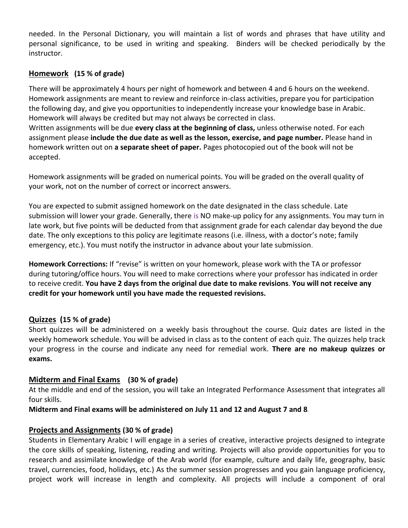needed. In the Personal Dictionary, you will maintain a list of words and phrases that have utility and personal significance, to be used in writing and speaking. Binders will be checked periodically by the instructor.

## **Homework (15 % of grade)**

There will be approximately 4 hours per night of homework and between 4 and 6 hours on the weekend. Homework assignments are meant to review and reinforce in-class activities, prepare you for participation the following day, and give you opportunities to independently increase your knowledge base in Arabic. Homework will always be credited but may not always be corrected in class.

Written assignments will be due **every class at the beginning of class,** unless otherwise noted. For each assignment please **include the due date as well as the lesson, exercise, and page number.** Please hand in homework written out on **a separate sheet of paper.** Pages photocopied out of the book will not be accepted.

Homework assignments will be graded on numerical points. You will be graded on the overall quality of your work, not on the number of correct or incorrect answers.

You are expected to submit assigned homework on the date designated in the class schedule. Late submission will lower your grade. Generally, there is NO make-up policy for any assignments. You may turn in late work, but five points will be deducted from that assignment grade for each calendar day beyond the due date. The only exceptions to this policy are legitimate reasons (i.e. illness, with a doctor's note; family emergency, etc.). You must notify the instructor in advance about your late submission.

**Homework Corrections:** If "revise" is written on your homework, please work with the TA or professor during tutoring/office hours. You will need to make corrections where your professor has indicated in order to receive credit. **You have 2 days from the original due date to make revisions**. **You will not receive any credit for your homework until you have made the requested revisions.**

#### **Quizzes (15 % of grade)**

Short quizzes will be administered on a weekly basis throughout the course. Quiz dates are listed in the weekly homework schedule. You will be advised in class as to the content of each quiz. The quizzes help track your progress in the course and indicate any need for remedial work. **There are no makeup quizzes or exams.** 

#### **Midterm and Final Exams (30 % of grade)**

At the middle and end of the session, you will take an Integrated Performance Assessment that integrates all four skills.

**Midterm and Final exams will be administered on July 11 and 12 and August 7 and 8**.

#### **Projects and Assignments (30 % of grade)**

Students in Elementary Arabic I will engage in a series of creative, interactive projects designed to integrate the core skills of speaking, listening, reading and writing. Projects will also provide opportunities for you to research and assimilate knowledge of the Arab world (for example, culture and daily life, geography, basic travel, currencies, food, holidays, etc.) As the summer session progresses and you gain language proficiency, project work will increase in length and complexity. All projects will include a component of oral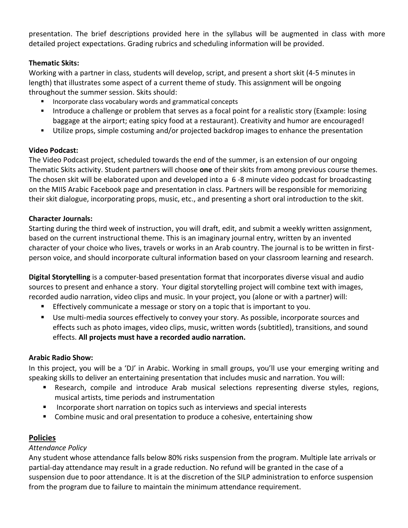presentation. The brief descriptions provided here in the syllabus will be augmented in class with more detailed project expectations. Grading rubrics and scheduling information will be provided.

### **Thematic Skits:**

Working with a partner in class, students will develop, script, and present a short skit (4-5 minutes in length) that illustrates some aspect of a current theme of study. This assignment will be ongoing throughout the summer session. Skits should:

- Incorporate class vocabulary words and grammatical concepts
- Introduce a challenge or problem that serves as a focal point for a realistic story (Example: losing baggage at the airport; eating spicy food at a restaurant). Creativity and humor are encouraged!
- Utilize props, simple costuming and/or projected backdrop images to enhance the presentation

## **Video Podcast:**

The Video Podcast project, scheduled towards the end of the summer, is an extension of our ongoing Thematic Skits activity. Student partners will choose **one** of their skits from among previous course themes. The chosen skit will be elaborated upon and developed into a 6 -8 minute video podcast for broadcasting on the MIIS Arabic Facebook page and presentation in class. Partners will be responsible for memorizing their skit dialogue, incorporating props, music, etc., and presenting a short oral introduction to the skit.

#### **Character Journals:**

Starting during the third week of instruction, you will draft, edit, and submit a weekly written assignment, based on the current instructional theme. This is an imaginary journal entry, written by an invented character of your choice who lives, travels or works in an Arab country. The journal is to be written in firstperson voice, and should incorporate cultural information based on your classroom learning and research.

**Digital Storytelling** is a computer-based presentation format that incorporates diverse visual and audio sources to present and enhance a story. Your digital storytelling project will combine text with images, recorded audio narration, video clips and music. In your project, you (alone or with a partner) will:

- **Effectively communicate a message or story on a topic that is important to you.**
- Use multi-media sources effectively to convey your story. As possible, incorporate sources and effects such as photo images, video clips, music, written words (subtitled), transitions, and sound effects. **All projects must have a recorded audio narration.**

#### **Arabic Radio Show:**

In this project, you will be a 'DJ' in Arabic. Working in small groups, you'll use your emerging writing and speaking skills to deliver an entertaining presentation that includes music and narration. You will:

- **E** Research, compile and introduce Arab musical selections representing diverse styles, regions, musical artists, time periods and instrumentation
- Incorporate short narration on topics such as interviews and special interests
- Combine music and oral presentation to produce a cohesive, entertaining show

## **Policies**

#### *Attendance Policy*

Any student whose attendance falls below 80% risks suspension from the program. Multiple late arrivals or partial-day attendance may result in a grade reduction. No refund will be granted in the case of a suspension due to poor attendance. It is at the discretion of the SILP administration to enforce suspension from the program due to failure to maintain the minimum attendance requirement.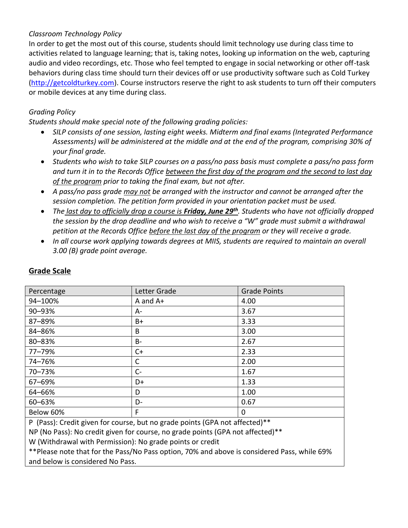### *Classroom Technology Policy*

In order to get the most out of this course, students should limit technology use during class time to activities related to language learning; that is, taking notes, looking up information on the web, capturing audio and video recordings, etc. Those who feel tempted to engage in social networking or other off-task behaviors during class time should turn their devices off or use productivity software such as Cold Turkey [\(http://getcoldturkey.com\)](http://getcoldturkey.com/). Course instructors reserve the right to ask students to turn off their computers or mobile devices at any time during class.

## *Grading Policy*

*Students should make special note of the following grading policies:*

- *SILP consists of one session, lasting eight weeks. Midterm and final exams (Integrated Performance Assessments) will be administered at the middle and at the end of the program, comprising 30% of your final grade.*
- *Students who wish to take SILP courses on a pass/no pass basis must complete a pass/no pass form and turn it in to the Records Office between the first day of the program and the second to last day of the program prior to taking the final exam, but not after.*
- *A pass/no pass grade may not be arranged with the instructor and cannot be arranged after the session completion. The petition form provided in your orientation packet must be used.*
- *The last day to officially drop a course is Friday, June 29th. Students who have not officially dropped the session by the drop deadline and who wish to receive a "W" grade must submit a withdrawal petition at the Records Office before the last day of the program or they will receive a grade.*
- *In all course work applying towards degrees at MIIS, students are required to maintain an overall 3.00 (B) grade point average.*

| Percentage | Letter Grade | <b>Grade Points</b> |
|------------|--------------|---------------------|
| 94-100%    | $A$ and $A+$ | 4.00                |
| 90-93%     | A-           | 3.67                |
| 87-89%     | B+           | 3.33                |
| 84-86%     | B            | 3.00                |
| 80-83%     | <b>B</b> -   | 2.67                |
| 77-79%     | $C+$         | 2.33                |
| 74-76%     | C            | 2.00                |
| 70-73%     | $C -$        | 1.67                |
| 67-69%     | D+           | 1.33                |
| 64-66%     | D            | 1.00                |
| 60-63%     | $D-$         | 0.67                |
| Below 60%  | F            | 0                   |

# **Grade Scale**

P (Pass): Credit given for course, but no grade points (GPA not affected)\*\*

NP (No Pass): No credit given for course, no grade points (GPA not affected)\*\*

W (Withdrawal with Permission): No grade points or credit

\*\*Please note that for the Pass/No Pass option, 70% and above is considered Pass, while 69% and below is considered No Pass.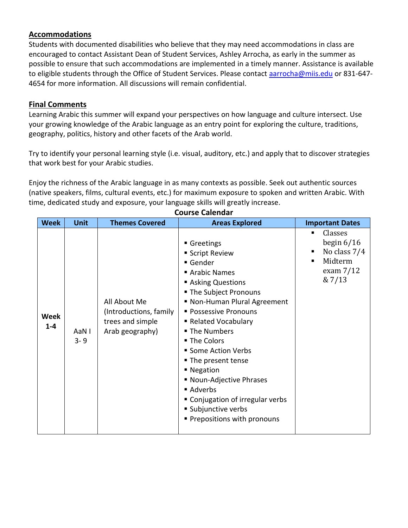## **Accommodations**

Students with documented disabilities who believe that they may need accommodations in class are encouraged to contact Assistant Dean of Student Services, Ashley Arrocha, as early in the summer as possible to ensure that such accommodations are implemented in a timely manner. Assistance is available to eligible students through the Office of Student Services. Please contact [aarrocha@miis.edu](mailto:aarrocha@miis.edu) or 831-647-4654 for more information. All discussions will remain confidential.

### **Final Comments**

Learning Arabic this summer will expand your perspectives on how language and culture intersect. Use your growing knowledge of the Arabic language as an entry point for exploring the culture, traditions, geography, politics, history and other facets of the Arab world.

Try to identify your personal learning style (i.e. visual, auditory, etc.) and apply that to discover strategies that work best for your Arabic studies.

Enjoy the richness of the Arabic language in as many contexts as possible. Seek out authentic sources (native speakers, films, cultural events, etc.) for maximum exposure to spoken and written Arabic. With time, dedicated study and exposure, your language skills will greatly increase.

| <b>Week</b>     | <b>Unit</b>      | <b>Themes Covered</b>                                                         | <b>Areas Explored</b>                                                                                                                                                                                                                                                                                                                                                                                                        | <b>Important Dates</b>                                                           |
|-----------------|------------------|-------------------------------------------------------------------------------|------------------------------------------------------------------------------------------------------------------------------------------------------------------------------------------------------------------------------------------------------------------------------------------------------------------------------------------------------------------------------------------------------------------------------|----------------------------------------------------------------------------------|
| Week<br>$1 - 4$ | AaN I<br>$3 - 9$ | All About Me<br>(Introductions, family<br>trees and simple<br>Arab geography) | Greetings<br>■ Script Review<br>Gender<br>Arabic Names<br>Asking Questions<br>The Subject Pronouns<br>■ Non-Human Plural Agreement<br><b>Possessive Pronouns</b><br>Related Vocabulary<br>■ The Numbers<br>■ The Colors<br>■ Some Action Verbs<br>■ The present tense<br>■ Negation<br>■ Noun-Adjective Phrases<br>■ Adverbs<br>" Conjugation of irregular verbs<br>■ Subjunctive verbs<br><b>Prepositions with pronouns</b> | Classes<br>begin $6/16$<br>No class 7/4<br>п<br>Midterm<br>exam $7/12$<br>& 7/13 |

## **Course Calendar**